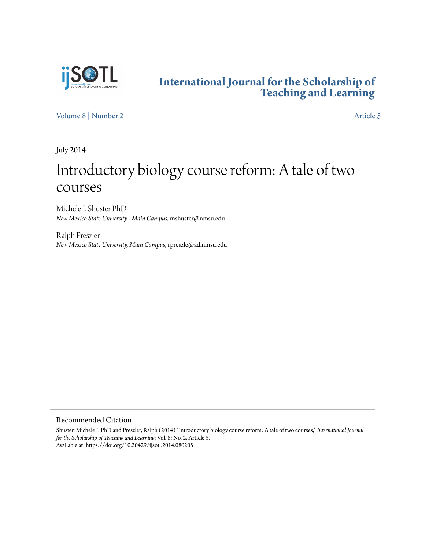

# **[International Journal for the Scholarship of](https://digitalcommons.georgiasouthern.edu/ij-sotl?utm_source=digitalcommons.georgiasouthern.edu%2Fij-sotl%2Fvol8%2Fiss2%2F5&utm_medium=PDF&utm_campaign=PDFCoverPages) [Teaching and Learning](https://digitalcommons.georgiasouthern.edu/ij-sotl?utm_source=digitalcommons.georgiasouthern.edu%2Fij-sotl%2Fvol8%2Fiss2%2F5&utm_medium=PDF&utm_campaign=PDFCoverPages)**

[Volume 8](https://digitalcommons.georgiasouthern.edu/ij-sotl/vol8?utm_source=digitalcommons.georgiasouthern.edu%2Fij-sotl%2Fvol8%2Fiss2%2F5&utm_medium=PDF&utm_campaign=PDFCoverPages) | [Number 2](https://digitalcommons.georgiasouthern.edu/ij-sotl/vol8/iss2?utm_source=digitalcommons.georgiasouthern.edu%2Fij-sotl%2Fvol8%2Fiss2%2F5&utm_medium=PDF&utm_campaign=PDFCoverPages) [Article 5](https://digitalcommons.georgiasouthern.edu/ij-sotl/vol8/iss2/5?utm_source=digitalcommons.georgiasouthern.edu%2Fij-sotl%2Fvol8%2Fiss2%2F5&utm_medium=PDF&utm_campaign=PDFCoverPages)

July 2014

# Introductory biology course reform: A tale of two courses

Michele I. Shuster PhD *New Mexico State University - Main Campus*, mshuster@nmsu.edu

Ralph Preszler *New Mexico State University, Main Campus*, rpreszle@ad.nmsu.edu

Recommended Citation

Shuster, Michele I. PhD and Preszler, Ralph (2014) "Introductory biology course reform: A tale of two courses," *International Journal for the Scholarship of Teaching and Learning*: Vol. 8: No. 2, Article 5. Available at: https://doi.org/10.20429/ijsotl.2014.080205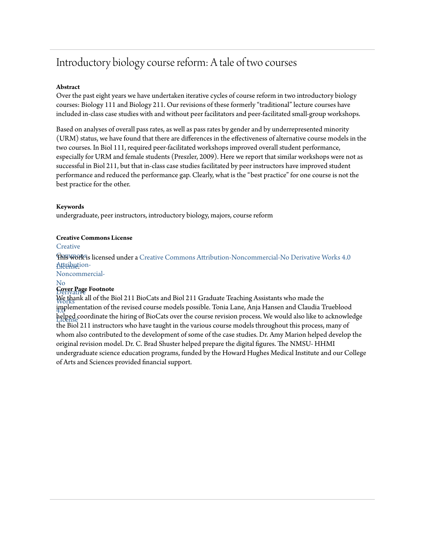# Introductory biology course reform: A tale of two courses

#### **Abstract**

Over the past eight years we have undertaken iterative cycles of course reform in two introductory biology courses: Biology 111 and Biology 211. Our revisions of these formerly "traditional" lecture courses have included in-class case studies with and without peer facilitators and peer-facilitated small-group workshops.

Based on analyses of overall pass rates, as well as pass rates by gender and by underrepresented minority (URM) status, we have found that there are differences in the effectiveness of alternative course models in the two courses. In Biol 111, required peer-facilitated workshops improved overall student performance, especially for URM and female students (Preszler, 2009). Here we report that similar workshops were not as successful in Biol 211, but that in-class case studies facilitated by peer instructors have improved student performance and reduced the performance gap. Clearly, what is the "best practice" for one course is not the best practice for the other.

#### **Keywords**

undergraduate, peer instructors, introductory biology, majors, course reform

#### **Creative Commons License**

**[Creative](https://creativecommons.org/licenses/by-nc-nd/4.0/)** 

 $\operatorname{F\!M\!B\!W\!O\!H\!P\!S}$ is licensed under a [Creative Commons Attribution-Noncommercial-No Derivative Works 4.0](https://creativecommons.org/licenses/by-nc-nd/4.0/) Atternution-

Noncommercial-

#### No Derivative **Cover Page Footnote**

Works We thank all of the Biol 211 BioCats and Biol 211 Graduate Teaching Assistants who made the 4.0 implementation of the revised course models possible. Tonia Lane, Anja Hansen and Claudia Trueblood License helped coordinate the hiring of BioCats over the course revision process. We would also like to acknowledge the Biol 211 instructors who have taught in the various course models throughout this process, many of whom also contributed to the development of some of the case studies. Dr. Amy Marion helped develop the original revision model. Dr. C. Brad Shuster helped prepare the digital figures. The NMSU- HHMI undergraduate science education programs, funded by the Howard Hughes Medical Institute and our College of Arts and Sciences provided financial support.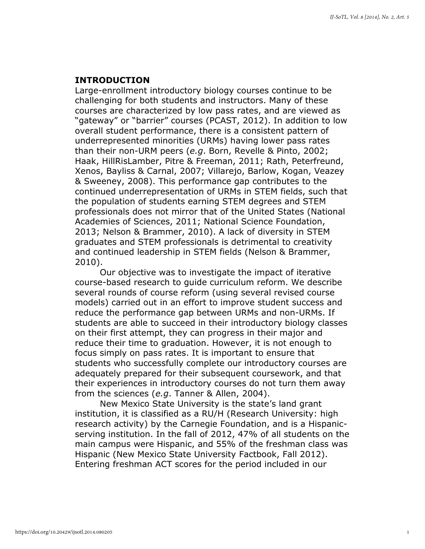# INTRODUCTION

Large-enrollment introductory biology courses continue to be challenging for both students and instructors. Many of these courses are characterized by low pass rates, and are viewed as "gateway" or "barrier" courses (PCAST, 2012). In addition to low overall student performance, there is a consistent pattern of underrepresented minorities (URMs) having lower pass rates than their non-URM peers (e.g. Born, Revelle & Pinto, 2002; Haak, HillRisLamber, Pitre & Freeman, 2011; Rath, Peterfreund, Xenos, Bayliss & Carnal, 2007; Villarejo, Barlow, Kogan, Veazey & Sweeney, 2008). This performance gap contributes to the continued underrepresentation of URMs in STEM fields, such that the population of students earning STEM degrees and STEM professionals does not mirror that of the United States (National Academies of Sciences, 2011; National Science Foundation, 2013; Nelson & Brammer, 2010). A lack of diversity in STEM graduates and STEM professionals is detrimental to creativity and continued leadership in STEM fields (Nelson & Brammer, 2010).

Our objective was to investigate the impact of iterative course-based research to guide curriculum reform. We describe several rounds of course reform (using several revised course models) carried out in an effort to improve student success and reduce the performance gap between URMs and non-URMs. If students are able to succeed in their introductory biology classes on their first attempt, they can progress in their major and reduce their time to graduation. However, it is not enough to focus simply on pass rates. It is important to ensure that students who successfully complete our introductory courses are adequately prepared for their subsequent coursework, and that their experiences in introductory courses do not turn them away from the sciences (e.g. Tanner & Allen, 2004).

New Mexico State University is the state's land grant institution, it is classified as a RU/H (Research University: high research activity) by the Carnegie Foundation, and is a Hispanicserving institution. In the fall of 2012, 47% of all students on the main campus were Hispanic, and 55% of the freshman class was Hispanic (New Mexico State University Factbook, Fall 2012). Entering freshman ACT scores for the period included in our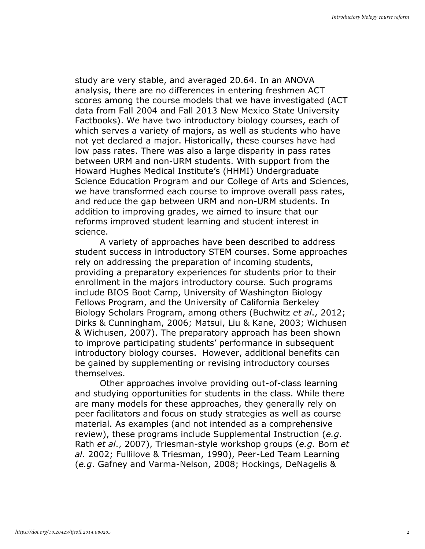study are very stable, and averaged 20.64. In an ANOVA analysis, there are no differences in entering freshmen ACT scores among the course models that we have investigated (ACT data from Fall 2004 and Fall 2013 New Mexico State University Factbooks). We have two introductory biology courses, each of which serves a variety of majors, as well as students who have not yet declared a major. Historically, these courses have had low pass rates. There was also a large disparity in pass rates between URM and non-URM students. With support from the Howard Hughes Medical Institute's (HHMI) Undergraduate Science Education Program and our College of Arts and Sciences, we have transformed each course to improve overall pass rates, and reduce the gap between URM and non-URM students. In addition to improving grades, we aimed to insure that our reforms improved student learning and student interest in science.

A variety of approaches have been described to address student success in introductory STEM courses. Some approaches rely on addressing the preparation of incoming students, providing a preparatory experiences for students prior to their enrollment in the majors introductory course. Such programs include BIOS Boot Camp, University of Washington Biology Fellows Program, and the University of California Berkeley Biology Scholars Program, among others (Buchwitz et al., 2012; Dirks & Cunningham, 2006; Matsui, Liu & Kane, 2003; Wichusen & Wichusen, 2007). The preparatory approach has been shown to improve participating students' performance in subsequent introductory biology courses. However, additional benefits can be gained by supplementing or revising introductory courses themselves.

Other approaches involve providing out-of-class learning and studying opportunities for students in the class. While there are many models for these approaches, they generally rely on peer facilitators and focus on study strategies as well as course material. As examples (and not intended as a comprehensive review), these programs include Supplemental Instruction (e.g. Rath et al., 2007), Triesman-style workshop groups (e.g. Born et al. 2002; Fullilove & Triesman, 1990), Peer-Led Team Learning (e.g. Gafney and Varma-Nelson, 2008; Hockings, DeNagelis &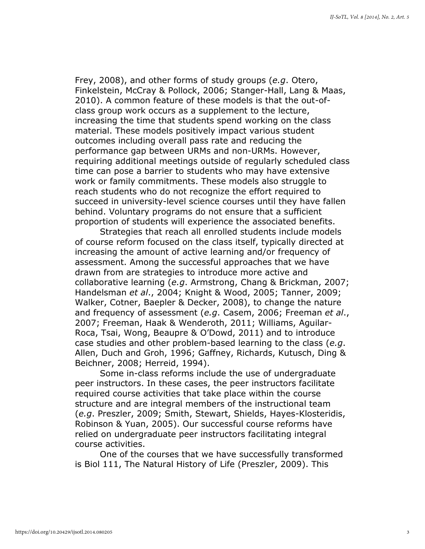Frey, 2008), and other forms of study groups (e.g. Otero, Finkelstein, McCray & Pollock, 2006; Stanger-Hall, Lang & Maas, 2010). A common feature of these models is that the out-ofclass group work occurs as a supplement to the lecture, increasing the time that students spend working on the class material. These models positively impact various student outcomes including overall pass rate and reducing the performance gap between URMs and non-URMs. However, requiring additional meetings outside of regularly scheduled class time can pose a barrier to students who may have extensive work or family commitments. These models also struggle to reach students who do not recognize the effort required to succeed in university-level science courses until they have fallen behind. Voluntary programs do not ensure that a sufficient proportion of students will experience the associated benefits.

Strategies that reach all enrolled students include models of course reform focused on the class itself, typically directed at increasing the amount of active learning and/or frequency of assessment. Among the successful approaches that we have drawn from are strategies to introduce more active and collaborative learning (e.g. Armstrong, Chang & Brickman, 2007; Handelsman et al., 2004; Knight & Wood, 2005; Tanner, 2009; Walker, Cotner, Baepler & Decker, 2008), to change the nature and frequency of assessment (e.g. Casem, 2006; Freeman et al., 2007; Freeman, Haak & Wenderoth, 2011; Williams, Aguilar-Roca, Tsai, Wong, Beaupre & O'Dowd, 2011) and to introduce case studies and other problem-based learning to the class (e.g. Allen, Duch and Groh, 1996; Gaffney, Richards, Kutusch, Ding & Beichner, 2008; Herreid, 1994).

Some in-class reforms include the use of undergraduate peer instructors. In these cases, the peer instructors facilitate required course activities that take place within the course structure and are integral members of the instructional team (e.g. Preszler, 2009; Smith, Stewart, Shields, Hayes-Klosteridis, Robinson & Yuan, 2005). Our successful course reforms have relied on undergraduate peer instructors facilitating integral course activities.

One of the courses that we have successfully transformed is Biol 111, The Natural History of Life (Preszler, 2009). This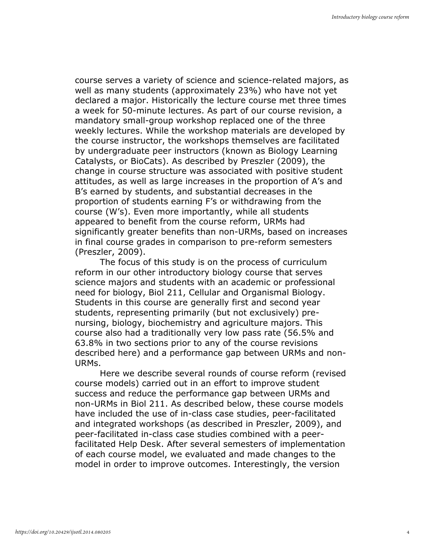course serves a variety of science and science-related majors, as well as many students (approximately 23%) who have not yet declared a major. Historically the lecture course met three times a week for 50-minute lectures. As part of our course revision, a mandatory small-group workshop replaced one of the three weekly lectures. While the workshop materials are developed by the course instructor, the workshops themselves are facilitated by undergraduate peer instructors (known as Biology Learning Catalysts, or BioCats). As described by Preszler (2009), the change in course structure was associated with positive student attitudes, as well as large increases in the proportion of A's and B's earned by students, and substantial decreases in the proportion of students earning F's or withdrawing from the course (W's). Even more importantly, while all students appeared to benefit from the course reform, URMs had significantly greater benefits than non-URMs, based on increases in final course grades in comparison to pre-reform semesters (Preszler, 2009).

The focus of this study is on the process of curriculum reform in our other introductory biology course that serves science majors and students with an academic or professional need for biology, Biol 211, Cellular and Organismal Biology. Students in this course are generally first and second year students, representing primarily (but not exclusively) prenursing, biology, biochemistry and agriculture majors. This course also had a traditionally very low pass rate (56.5% and 63.8% in two sections prior to any of the course revisions described here) and a performance gap between URMs and non-URMs.

Here we describe several rounds of course reform (revised course models) carried out in an effort to improve student success and reduce the performance gap between URMs and non-URMs in Biol 211. As described below, these course models have included the use of in-class case studies, peer-facilitated and integrated workshops (as described in Preszler, 2009), and peer-facilitated in-class case studies combined with a peerfacilitated Help Desk. After several semesters of implementation of each course model, we evaluated and made changes to the model in order to improve outcomes. Interestingly, the version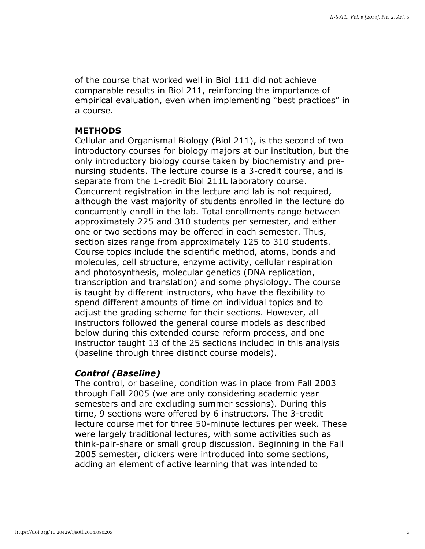of the course that worked well in Biol 111 did not achieve comparable results in Biol 211, reinforcing the importance of empirical evaluation, even when implementing "best practices" in a course.

# METHODS

Cellular and Organismal Biology (Biol 211), is the second of two introductory courses for biology majors at our institution, but the only introductory biology course taken by biochemistry and prenursing students. The lecture course is a 3-credit course, and is separate from the 1-credit Biol 211L laboratory course. Concurrent registration in the lecture and lab is not required, although the vast majority of students enrolled in the lecture do concurrently enroll in the lab. Total enrollments range between approximately 225 and 310 students per semester, and either one or two sections may be offered in each semester. Thus, section sizes range from approximately 125 to 310 students. Course topics include the scientific method, atoms, bonds and molecules, cell structure, enzyme activity, cellular respiration and photosynthesis, molecular genetics (DNA replication, transcription and translation) and some physiology. The course is taught by different instructors, who have the flexibility to spend different amounts of time on individual topics and to adjust the grading scheme for their sections. However, all instructors followed the general course models as described below during this extended course reform process, and one instructor taught 13 of the 25 sections included in this analysis (baseline through three distinct course models).

# Control (Baseline)

The control, or baseline, condition was in place from Fall 2003 through Fall 2005 (we are only considering academic year semesters and are excluding summer sessions). During this time, 9 sections were offered by 6 instructors. The 3-credit lecture course met for three 50-minute lectures per week. These were largely traditional lectures, with some activities such as think-pair-share or small group discussion. Beginning in the Fall 2005 semester, clickers were introduced into some sections, adding an element of active learning that was intended to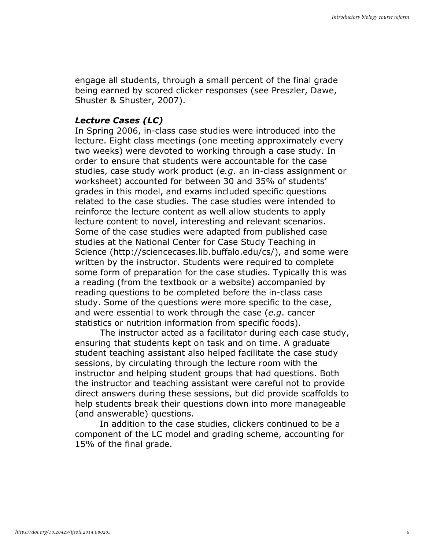engage all students, through a small percent of the final grade being earned by scored clicker responses (see Preszler, Dawe, Shuster & Shuster, 2007).

# Lecture Cases (LC)

In Spring 2006, in-class case studies were introduced into the lecture. Eight class meetings (one meeting approximately every two weeks) were devoted to working through a case study. In order to ensure that students were accountable for the case studies, case study work product (e.g. an in-class assignment or worksheet) accounted for between 30 and 35% of students' grades in this model, and exams included specific questions related to the case studies. The case studies were intended to reinforce the lecture content as well allow students to apply lecture content to novel, interesting and relevant scenarios. Some of the case studies were adapted from published case studies at the National Center for Case Study Teaching in Science (http://sciencecases.lib.buffalo.edu/cs/), and some were written by the instructor. Students were required to complete some form of preparation for the case studies. Typically this was a reading (from the textbook or a website) accompanied by reading questions to be completed before the in-class case study. Some of the questions were more specific to the case, and were essential to work through the case (e.g. cancer statistics or nutrition information from specific foods).

The instructor acted as a facilitator during each case study, ensuring that students kept on task and on time. A graduate student teaching assistant also helped facilitate the case study sessions, by circulating through the lecture room with the instructor and helping student groups that had questions. Both the instructor and teaching assistant were careful not to provide direct answers during these sessions, but did provide scaffolds to help students break their questions down into more manageable (and answerable) questions.

 In addition to the case studies, clickers continued to be a component of the LC model and grading scheme, accounting for 15% of the final grade.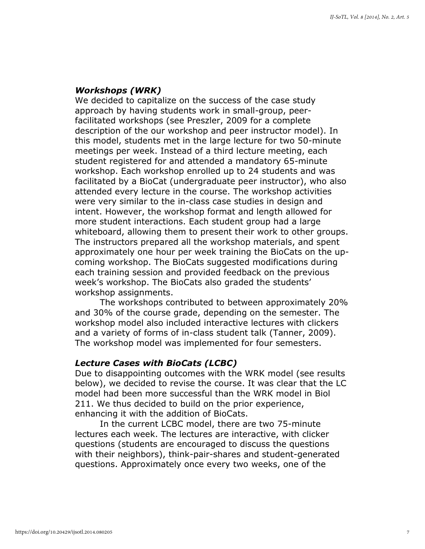# Workshops (WRK)

We decided to capitalize on the success of the case study approach by having students work in small-group, peerfacilitated workshops (see Preszler, 2009 for a complete description of the our workshop and peer instructor model). In this model, students met in the large lecture for two 50-minute meetings per week. Instead of a third lecture meeting, each student registered for and attended a mandatory 65-minute workshop. Each workshop enrolled up to 24 students and was facilitated by a BioCat (undergraduate peer instructor), who also attended every lecture in the course. The workshop activities were very similar to the in-class case studies in design and intent. However, the workshop format and length allowed for more student interactions. Each student group had a large whiteboard, allowing them to present their work to other groups. The instructors prepared all the workshop materials, and spent approximately one hour per week training the BioCats on the upcoming workshop. The BioCats suggested modifications during each training session and provided feedback on the previous week's workshop. The BioCats also graded the students' workshop assignments.

The workshops contributed to between approximately 20% and 30% of the course grade, depending on the semester. The workshop model also included interactive lectures with clickers and a variety of forms of in-class student talk (Tanner, 2009). The workshop model was implemented for four semesters.

# Lecture Cases with BioCats (LCBC)

Due to disappointing outcomes with the WRK model (see results below), we decided to revise the course. It was clear that the LC model had been more successful than the WRK model in Biol 211. We thus decided to build on the prior experience, enhancing it with the addition of BioCats.

In the current LCBC model, there are two 75-minute lectures each week. The lectures are interactive, with clicker questions (students are encouraged to discuss the questions with their neighbors), think-pair-shares and student-generated questions. Approximately once every two weeks, one of the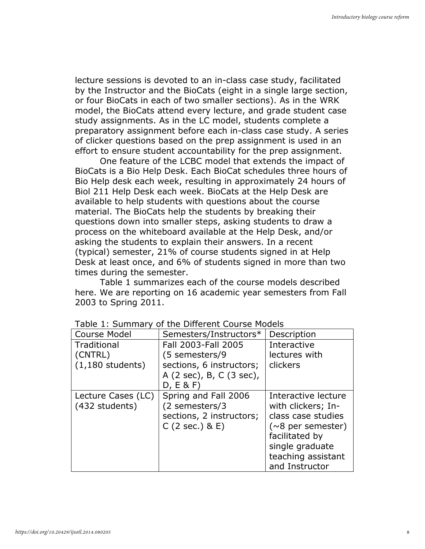lecture sessions is devoted to an in-class case study, facilitated by the Instructor and the BioCats (eight in a single large section, or four BioCats in each of two smaller sections). As in the WRK model, the BioCats attend every lecture, and grade student case study assignments. As in the LC model, students complete a preparatory assignment before each in-class case study. A series of clicker questions based on the prep assignment is used in an effort to ensure student accountability for the prep assignment.

One feature of the LCBC model that extends the impact of BioCats is a Bio Help Desk. Each BioCat schedules three hours of Bio Help desk each week, resulting in approximately 24 hours of Biol 211 Help Desk each week. BioCats at the Help Desk are available to help students with questions about the course material. The BioCats help the students by breaking their questions down into smaller steps, asking students to draw a process on the whiteboard available at the Help Desk, and/or asking the students to explain their answers. In a recent (typical) semester, 21% of course students signed in at Help Desk at least once, and 6% of students signed in more than two times during the semester.

Table 1 summarizes each of the course models described here. We are reporting on 16 academic year semesters from Fall 2003 to Spring 2011.

| <b>Course Model</b>                  | Semesters/Instructors*                                                               | Description                                                                                                                                                              |
|--------------------------------------|--------------------------------------------------------------------------------------|--------------------------------------------------------------------------------------------------------------------------------------------------------------------------|
| Traditional                          | Fall 2003-Fall 2005                                                                  | Interactive                                                                                                                                                              |
| (CNTRL)                              | (5 semesters/9                                                                       | lectures with                                                                                                                                                            |
| $(1,180$ students)                   | sections, 6 instructors;<br>A (2 sec), B, C (3 sec),<br>D, E & F                     | clickers                                                                                                                                                                 |
| Lecture Cases (LC)<br>(432 students) | Spring and Fall 2006<br>(2 semesters/3<br>sections, 2 instructors;<br>C(2 sec.) & E) | Interactive lecture<br>with clickers; In-<br>class case studies<br>( $\sim$ 8 per semester)<br>facilitated by<br>single graduate<br>teaching assistant<br>and Instructor |

#### Table 1: Summary of the Different Course Models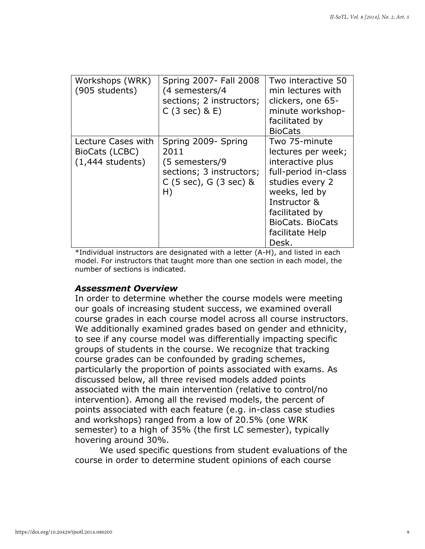| Workshops (WRK)<br>(905 students)                          | Spring 2007 - Fall 2008<br>(4 semesters/4<br>sections; 2 instructors;<br>$C(3 sec)$ & E)                                       | Two interactive 50<br>min lectures with<br>clickers, one 65-<br>minute workshop-<br>facilitated by<br><b>BioCats</b>                                                                                  |
|------------------------------------------------------------|--------------------------------------------------------------------------------------------------------------------------------|-------------------------------------------------------------------------------------------------------------------------------------------------------------------------------------------------------|
| Lecture Cases with<br>BioCats (LCBC)<br>$(1,444$ students) | Spring 2009- Spring<br>2011<br>(5 semesters/9<br>sections; 3 instructors;<br>C $(5 \text{ sec})$ , G $(3 \text{ sec})$ &<br>H) | Two 75-minute<br>lectures per week;<br>interactive plus<br>full-period in-class<br>studies every 2<br>weeks, led by<br>Instructor &<br>facilitated by<br>BioCats, BioCats<br>facilitate Help<br>Desk. |

\*Individual instructors are designated with a letter (A-H), and listed in each model. For instructors that taught more than one section in each model, the number of sections is indicated.

# Assessment Overview

In order to determine whether the course models were meeting our goals of increasing student success, we examined overall course grades in each course model across all course instructors. We additionally examined grades based on gender and ethnicity, to see if any course model was differentially impacting specific groups of students in the course. We recognize that tracking course grades can be confounded by grading schemes, particularly the proportion of points associated with exams. As discussed below, all three revised models added points associated with the main intervention (relative to control/no intervention). Among all the revised models, the percent of points associated with each feature (e.g. in-class case studies and workshops) ranged from a low of 20.5% (one WRK semester) to a high of 35% (the first LC semester), typically hovering around 30%.

We used specific questions from student evaluations of the course in order to determine student opinions of each course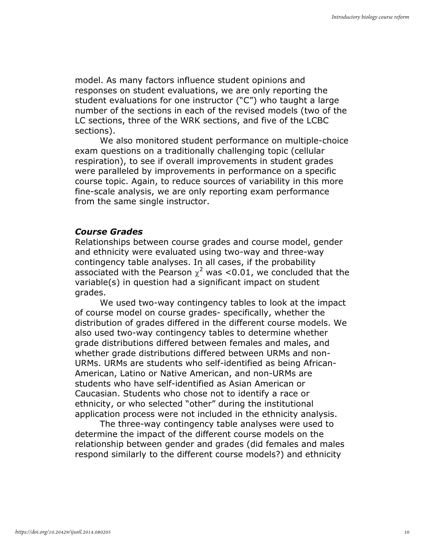model. As many factors influence student opinions and responses on student evaluations, we are only reporting the student evaluations for one instructor ("C") who taught a large number of the sections in each of the revised models (two of the LC sections, three of the WRK sections, and five of the LCBC sections).

We also monitored student performance on multiple-choice exam questions on a traditionally challenging topic (cellular respiration), to see if overall improvements in student grades were paralleled by improvements in performance on a specific course topic. Again, to reduce sources of variability in this more fine-scale analysis, we are only reporting exam performance from the same single instructor.

#### Course Grades

Relationships between course grades and course model, gender and ethnicity were evaluated using two-way and three-way contingency table analyses. In all cases, if the probability associated with the Pearson  $\chi^2$  was <0.01, we concluded that the variable(s) in question had a significant impact on student grades.

We used two-way contingency tables to look at the impact of course model on course grades- specifically, whether the distribution of grades differed in the different course models. We also used two-way contingency tables to determine whether grade distributions differed between females and males, and whether grade distributions differed between URMs and non-URMs. URMs are students who self-identified as being African-American, Latino or Native American, and non-URMs are students who have self-identified as Asian American or Caucasian. Students who chose not to identify a race or ethnicity, or who selected "other" during the institutional application process were not included in the ethnicity analysis.

The three-way contingency table analyses were used to determine the impact of the different course models on the relationship between gender and grades (did females and males respond similarly to the different course models?) and ethnicity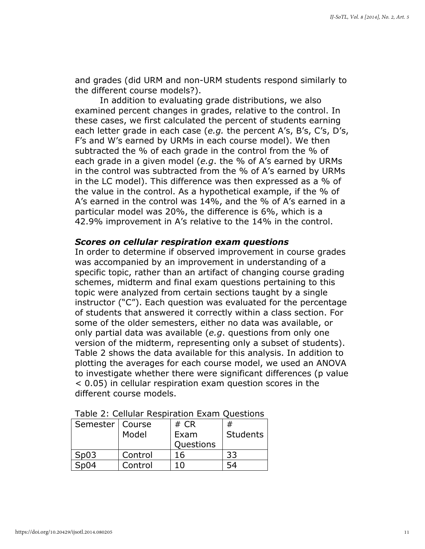and grades (did URM and non-URM students respond similarly to the different course models?).

In addition to evaluating grade distributions, we also examined percent changes in grades, relative to the control. In these cases, we first calculated the percent of students earning each letter grade in each case (e.g. the percent A's, B's, C's, D's, F's and W's earned by URMs in each course model). We then subtracted the % of each grade in the control from the % of each grade in a given model (e.g. the % of A's earned by URMs in the control was subtracted from the % of A's earned by URMs in the LC model). This difference was then expressed as a % of the value in the control. As a hypothetical example, if the % of A's earned in the control was 14%, and the % of A's earned in a particular model was 20%, the difference is 6%, which is a 42.9% improvement in A's relative to the 14% in the control.

#### Scores on cellular respiration exam questions

In order to determine if observed improvement in course grades was accompanied by an improvement in understanding of a specific topic, rather than an artifact of changing course grading schemes, midterm and final exam questions pertaining to this topic were analyzed from certain sections taught by a single instructor ("C"). Each question was evaluated for the percentage of students that answered it correctly within a class section. For some of the older semesters, either no data was available, or only partial data was available (e.g. questions from only one version of the midterm, representing only a subset of students). Table 2 shows the data available for this analysis. In addition to plotting the averages for each course model, we used an ANOVA to investigate whether there were significant differences (p value < 0.05) in cellular respiration exam question scores in the different course models.

| Semester   Course |         | # $CR$    | #        |
|-------------------|---------|-----------|----------|
|                   | Model   | Exam      | Students |
|                   |         | Questions |          |
| Sp03              | Control | 16        | 33       |
| Sn04              | Control | 1 በ       |          |

| Table 2: Cellular Respiration Exam Questions |  |
|----------------------------------------------|--|
|----------------------------------------------|--|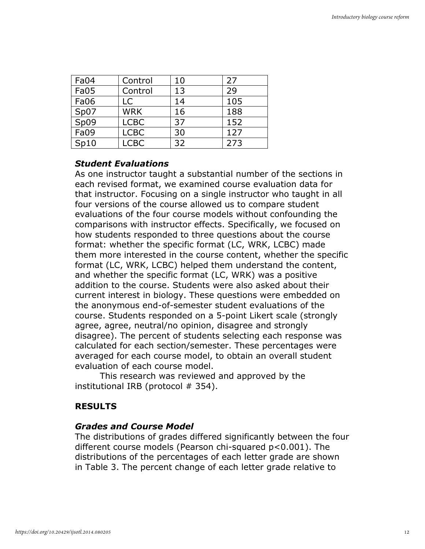| Fa04 | Control     | 10 | 27  |
|------|-------------|----|-----|
| Fa05 | Control     | 13 | 29  |
| Fa06 | LC          | 14 | 105 |
| Sp07 | <b>WRK</b>  | 16 | 188 |
| Sp09 | <b>LCBC</b> | 37 | 152 |
| Fa09 | <b>LCBC</b> | 30 | 127 |
| Sp10 | <b>LCBC</b> | 32 | 273 |

# Student Evaluations

As one instructor taught a substantial number of the sections in each revised format, we examined course evaluation data for that instructor. Focusing on a single instructor who taught in all four versions of the course allowed us to compare student evaluations of the four course models without confounding the comparisons with instructor effects. Specifically, we focused on how students responded to three questions about the course format: whether the specific format (LC, WRK, LCBC) made them more interested in the course content, whether the specific format (LC, WRK, LCBC) helped them understand the content, and whether the specific format (LC, WRK) was a positive addition to the course. Students were also asked about their current interest in biology. These questions were embedded on the anonymous end-of-semester student evaluations of the course. Students responded on a 5-point Likert scale (strongly agree, agree, neutral/no opinion, disagree and strongly disagree). The percent of students selecting each response was calculated for each section/semester. These percentages were averaged for each course model, to obtain an overall student evaluation of each course model.

This research was reviewed and approved by the institutional IRB (protocol # 354).

# RESULTS

# Grades and Course Model

The distributions of grades differed significantly between the four different course models (Pearson chi-squared p<0.001). The distributions of the percentages of each letter grade are shown in Table 3. The percent change of each letter grade relative to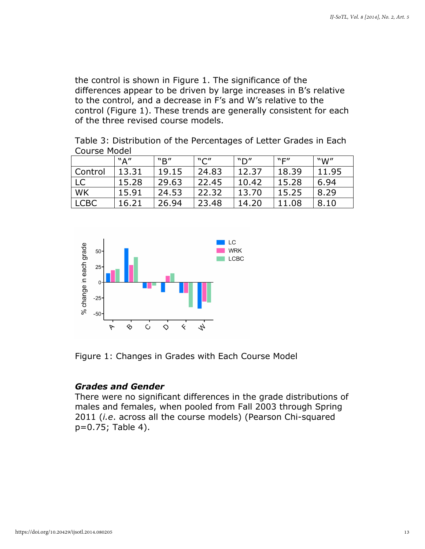the control is shown in Figure 1. The significance of the differences appear to be driven by large increases in B's relative to the control, and a decrease in F's and W's relative to the control (Figure 1). These trends are generally consistent for each of the three revised course models.

Table 3: Distribution of the Percentages of Letter Grades in Each Course Model

|           | "A"   | "R"   | "C"   | ״ח"   | "F"   | "W"   |
|-----------|-------|-------|-------|-------|-------|-------|
| Control   | 13.31 | 19.15 | 24.83 | 12.37 | 18.39 | 11.95 |
| <b>LC</b> | 15.28 | 29.63 | 22.45 | 10.42 | 15.28 | 6.94  |
| WK        | 15.91 | 24.53 | 22.32 | 13.70 | 15.25 | 8.29  |
| LCBC      | 16.21 | 26.94 | 23.48 | 14.20 | 11.08 | 8.10  |



Figure 1: Changes in Grades with Each Course Model

# Grades and Gender

There were no significant differences in the grade distributions of males and females, when pooled from Fall 2003 through Spring 2011 (*i.e.* across all the course models) (Pearson Chi-squared p=0.75; Table 4).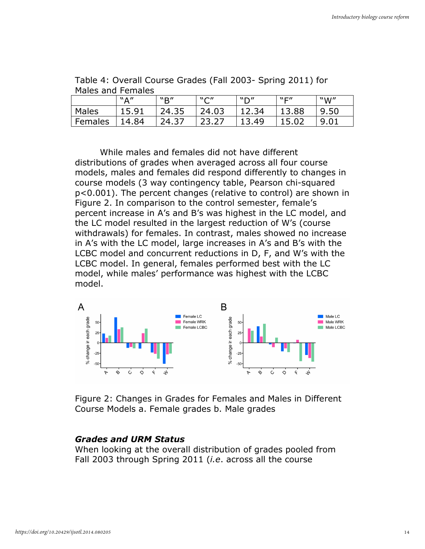|         | $W \wedge''$ | "B"           | $N \cap H$ | "D"   | $W\square''$ | "W"  |
|---------|--------------|---------------|------------|-------|--------------|------|
| Males   | 15.91        | 24.35         | 24.03      | 12.34 | 13.88        | 9.50 |
| Females | 14.84        | 24.37<br>. マニ |            | 13.49 | 15.02        | 9.01 |

Table 4: Overall Course Grades (Fall 2003- Spring 2011) for Males and Females

While males and females did not have different distributions of grades when averaged across all four course models, males and females did respond differently to changes in course models (3 way contingency table, Pearson chi-squared p<0.001). The percent changes (relative to control) are shown in Figure 2. In comparison to the control semester, female's percent increase in A's and B's was highest in the LC model, and the LC model resulted in the largest reduction of W's (course withdrawals) for females. In contrast, males showed no increase in A's with the LC model, large increases in A's and B's with the LCBC model and concurrent reductions in D, F, and W's with the LCBC model. In general, females performed best with the LC model, while males' performance was highest with the LCBC model.



Figure 2: Changes in Grades for Females and Males in Different Course Models a. Female grades b. Male grades

## Grades and URM Status

When looking at the overall distribution of grades pooled from Fall 2003 through Spring 2011 *(i.e.* across all the course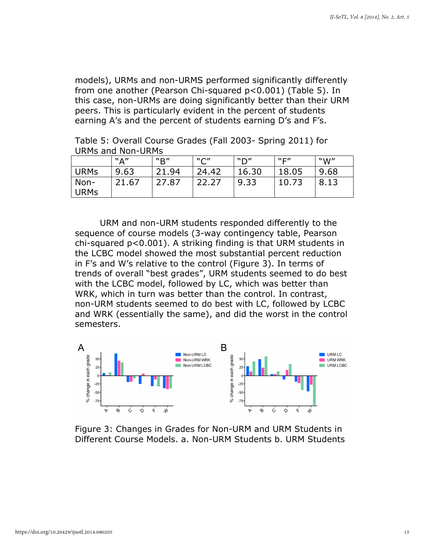models), URMs and non-URMS performed significantly differently from one another (Pearson Chi-squared p<0.001) (Table 5). In this case, non-URMs are doing significantly better than their URM peers. This is particularly evident in the percent of students earning A's and the percent of students earning D's and F's.

Table 5: Overall Course Grades (Fall 2003- Spring 2011) for URMs and Non-URMs

|                  | ``A'' | "R"   | "C"   | ״ח״   | $W\square''$ | W''  |
|------------------|-------|-------|-------|-------|--------------|------|
| URM <sub>S</sub> | 9.63  | 21.94 | 24.42 | 16.30 | 18.05        | 9.68 |
| Non-<br>URMs     | 21.67 | 27.87 | 22.27 | 9.33  | 10.73        | 8.13 |

URM and non-URM students responded differently to the sequence of course models (3-way contingency table, Pearson chi-squared p<0.001). A striking finding is that URM students in the LCBC model showed the most substantial percent reduction in F's and W's relative to the control (Figure 3). In terms of trends of overall "best grades", URM students seemed to do best with the LCBC model, followed by LC, which was better than WRK, which in turn was better than the control. In contrast, non-URM students seemed to do best with LC, followed by LCBC and WRK (essentially the same), and did the worst in the control semesters.



Figure 3: Changes in Grades for Non-URM and URM Students in Different Course Models. a. Non-URM Students b. URM Students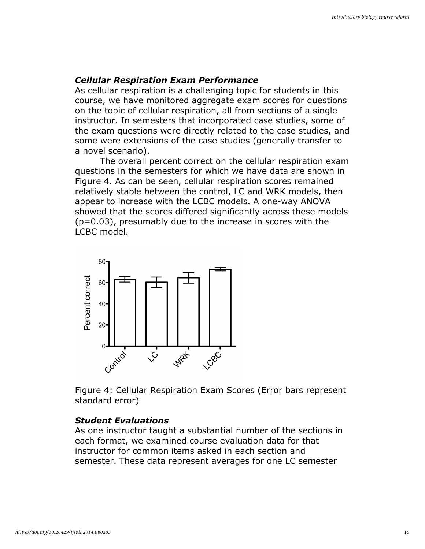# Cellular Respiration Exam Performance

As cellular respiration is a challenging topic for students in this course, we have monitored aggregate exam scores for questions on the topic of cellular respiration, all from sections of a single instructor. In semesters that incorporated case studies, some of the exam questions were directly related to the case studies, and some were extensions of the case studies (generally transfer to a novel scenario).

The overall percent correct on the cellular respiration exam questions in the semesters for which we have data are shown in Figure 4. As can be seen, cellular respiration scores remained relatively stable between the control, LC and WRK models, then appear to increase with the LCBC models. A one-way ANOVA showed that the scores differed significantly across these models (p=0.03), presumably due to the increase in scores with the LCBC model.



Figure 4: Cellular Respiration Exam Scores (Error bars represent standard error)

# Student Evaluations

As one instructor taught a substantial number of the sections in each format, we examined course evaluation data for that instructor for common items asked in each section and semester. These data represent averages for one LC semester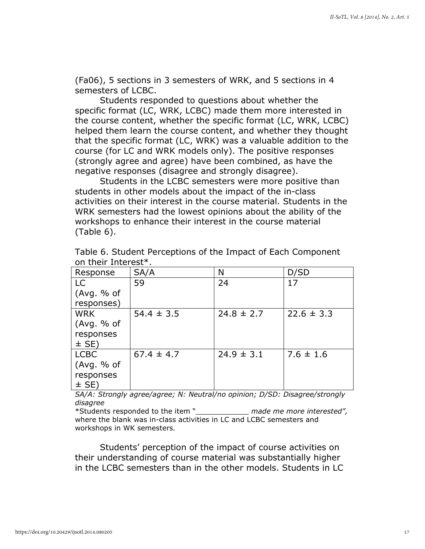(Fa06), 5 sections in 3 semesters of WRK, and 5 sections in 4 semesters of LCBC.

Students responded to questions about whether the specific format (LC, WRK, LCBC) made them more interested in the course content, whether the specific format (LC, WRK, LCBC) helped them learn the course content, and whether they thought that the specific format (LC, WRK) was a valuable addition to the course (for LC and WRK models only). The positive responses (strongly agree and agree) have been combined, as have the negative responses (disagree and strongly disagree).

Students in the LCBC semesters were more positive than students in other models about the impact of the in-class activities on their interest in the course material. Students in the WRK semesters had the lowest opinions about the ability of the workshops to enhance their interest in the course material (Table 6).

| Response    | SA/A           | Ν              | D/SD           |
|-------------|----------------|----------------|----------------|
| <b>LC</b>   | 59             | 24             | 17             |
| (Avg. % of  |                |                |                |
| responses)  |                |                |                |
| <b>WRK</b>  | $54.4 \pm 3.5$ | $24.8 \pm 2.7$ | $22.6 \pm 3.3$ |
| (Avg. % of  |                |                |                |
| responses   |                |                |                |
| $\pm$ SE)   |                |                |                |
| <b>LCBC</b> | $67.4 \pm 4.7$ | $24.9 \pm 3.1$ | $7.6 \pm 1.6$  |
| (Avg. % of  |                |                |                |
| responses   |                |                |                |
| $\pm$ SE)   |                |                |                |

Table 6. Student Perceptions of the Impact of Each Component on their Interest\*.

SA/A: Strongly agree/agree; N: Neutral/no opinion; D/SD: Disagree/strongly disagree

\*Students responded to the item "\_\_\_\_\_\_\_\_\_\_\_\_ made me more interested", where the blank was in-class activities in LC and LCBC semesters and workshops in WK semesters.

Students' perception of the impact of course activities on their understanding of course material was substantially higher in the LCBC semesters than in the other models. Students in LC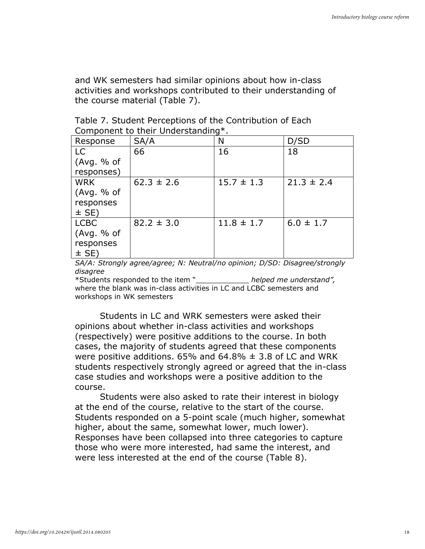and WK semesters had similar opinions about how in-class activities and workshops contributed to their understanding of the course material (Table 7).

| Response    | SA/A           | Ν              | D/SD           |
|-------------|----------------|----------------|----------------|
| LC          | 66             | 16             | 18             |
| (Avg. % of  |                |                |                |
| responses)  |                |                |                |
| <b>WRK</b>  | $62.3 \pm 2.6$ | $15.7 \pm 1.3$ | $21.3 \pm 2.4$ |
| (Avg. % of  |                |                |                |
| responses   |                |                |                |
| $\pm$ SE)   |                |                |                |
| <b>LCBC</b> | $82.2 \pm 3.0$ | $11.8 \pm 1.7$ | $6.0 \pm 1.7$  |
| (Avg. % of  |                |                |                |
| responses   |                |                |                |
| $\pm$ SE)   |                |                |                |

| Table 7. Student Perceptions of the Contribution of Each |  |
|----------------------------------------------------------|--|
| Component to their Understanding*.                       |  |

SA/A: Strongly agree/agree; N: Neutral/no opinion; D/SD: Disagree/strongly disagree

\*Students responded to the item " The helped me understand", where the blank was in-class activities in LC and LCBC semesters and workshops in WK semesters

Students in LC and WRK semesters were asked their opinions about whether in-class activities and workshops (respectively) were positive additions to the course. In both cases, the majority of students agreed that these components were positive additions. 65% and 64.8%  $\pm$  3.8 of LC and WRK students respectively strongly agreed or agreed that the in-class case studies and workshops were a positive addition to the course.

Students were also asked to rate their interest in biology at the end of the course, relative to the start of the course. Students responded on a 5-point scale (much higher, somewhat higher, about the same, somewhat lower, much lower). Responses have been collapsed into three categories to capture those who were more interested, had same the interest, and were less interested at the end of the course (Table 8).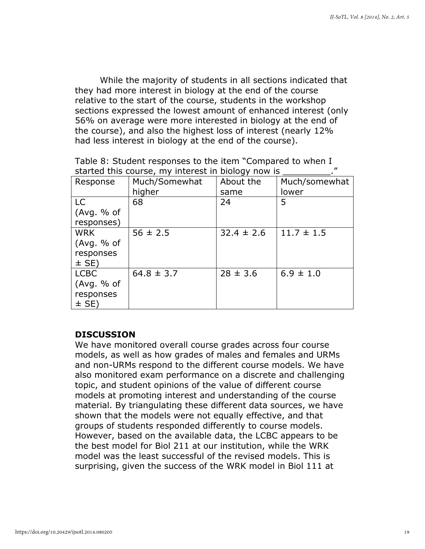While the majority of students in all sections indicated that they had more interest in biology at the end of the course relative to the start of the course, students in the workshop sections expressed the lowest amount of enhanced interest (only 56% on average were more interested in biology at the end of the course), and also the highest loss of interest (nearly 12% had less interest in biology at the end of the course).

|                                                    | Table 8: Student responses to the item "Compared to when I |
|----------------------------------------------------|------------------------------------------------------------|
| started this course, my interest in biology now is |                                                            |

| Response    | Much/Somewhat  | About the      | Much/somewhat  |
|-------------|----------------|----------------|----------------|
|             | higher         | same           | lower          |
| LC          | 68             | 24             | 5              |
| (Avg. % of  |                |                |                |
| responses)  |                |                |                |
| <b>WRK</b>  | $56 \pm 2.5$   | $32.4 \pm 2.6$ | $11.7 \pm 1.5$ |
| (Avg. % of  |                |                |                |
| responses   |                |                |                |
| $\pm$ SE)   |                |                |                |
| <b>LCBC</b> | $64.8 \pm 3.7$ | $28 \pm 3.6$   | $6.9 \pm 1.0$  |
| (Avg. % of  |                |                |                |
| responses   |                |                |                |
| $\pm$ SE)   |                |                |                |

# **DISCUSSION**

We have monitored overall course grades across four course models, as well as how grades of males and females and URMs and non-URMs respond to the different course models. We have also monitored exam performance on a discrete and challenging topic, and student opinions of the value of different course models at promoting interest and understanding of the course material. By triangulating these different data sources, we have shown that the models were not equally effective, and that groups of students responded differently to course models. However, based on the available data, the LCBC appears to be the best model for Biol 211 at our institution, while the WRK model was the least successful of the revised models. This is surprising, given the success of the WRK model in Biol 111 at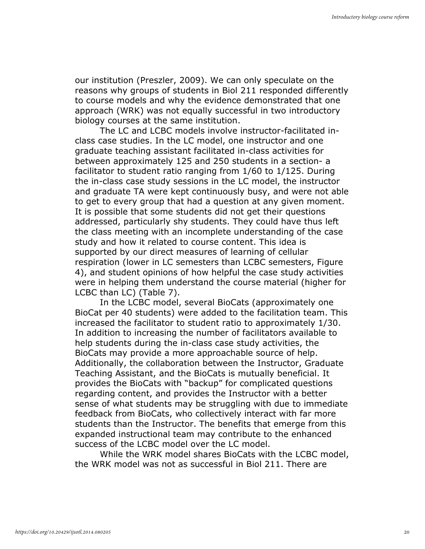our institution (Preszler, 2009). We can only speculate on the reasons why groups of students in Biol 211 responded differently to course models and why the evidence demonstrated that one approach (WRK) was not equally successful in two introductory biology courses at the same institution.

The LC and LCBC models involve instructor-facilitated inclass case studies. In the LC model, one instructor and one graduate teaching assistant facilitated in-class activities for between approximately 125 and 250 students in a section- a facilitator to student ratio ranging from 1/60 to 1/125. During the in-class case study sessions in the LC model, the instructor and graduate TA were kept continuously busy, and were not able to get to every group that had a question at any given moment. It is possible that some students did not get their questions addressed, particularly shy students. They could have thus left the class meeting with an incomplete understanding of the case study and how it related to course content. This idea is supported by our direct measures of learning of cellular respiration (lower in LC semesters than LCBC semesters, Figure 4), and student opinions of how helpful the case study activities were in helping them understand the course material (higher for LCBC than LC) (Table 7).

In the LCBC model, several BioCats (approximately one BioCat per 40 students) were added to the facilitation team. This increased the facilitator to student ratio to approximately 1/30. In addition to increasing the number of facilitators available to help students during the in-class case study activities, the BioCats may provide a more approachable source of help. Additionally, the collaboration between the Instructor, Graduate Teaching Assistant, and the BioCats is mutually beneficial. It provides the BioCats with "backup" for complicated questions regarding content, and provides the Instructor with a better sense of what students may be struggling with due to immediate feedback from BioCats, who collectively interact with far more students than the Instructor. The benefits that emerge from this expanded instructional team may contribute to the enhanced success of the LCBC model over the LC model.

While the WRK model shares BioCats with the LCBC model, the WRK model was not as successful in Biol 211. There are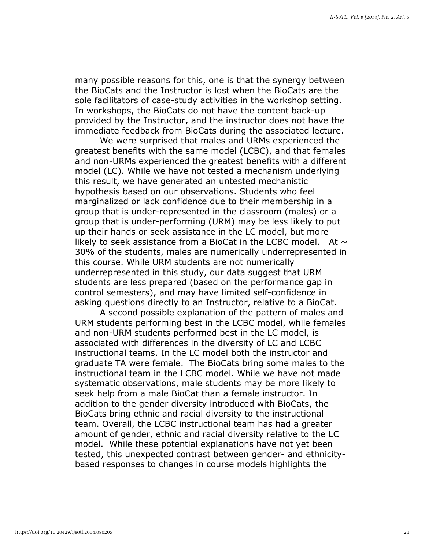many possible reasons for this, one is that the synergy between the BioCats and the Instructor is lost when the BioCats are the sole facilitators of case-study activities in the workshop setting. In workshops, the BioCats do not have the content back-up provided by the Instructor, and the instructor does not have the immediate feedback from BioCats during the associated lecture.

We were surprised that males and URMs experienced the greatest benefits with the same model (LCBC), and that females and non-URMs experienced the greatest benefits with a different model (LC). While we have not tested a mechanism underlying this result, we have generated an untested mechanistic hypothesis based on our observations. Students who feel marginalized or lack confidence due to their membership in a group that is under-represented in the classroom (males) or a group that is under-performing (URM) may be less likely to put up their hands or seek assistance in the LC model, but more likely to seek assistance from a BioCat in the LCBC model. At  $\sim$ 30% of the students, males are numerically underrepresented in this course. While URM students are not numerically underrepresented in this study, our data suggest that URM students are less prepared (based on the performance gap in control semesters), and may have limited self-confidence in asking questions directly to an Instructor, relative to a BioCat.

A second possible explanation of the pattern of males and URM students performing best in the LCBC model, while females and non-URM students performed best in the LC model, is associated with differences in the diversity of LC and LCBC instructional teams. In the LC model both the instructor and graduate TA were female. The BioCats bring some males to the instructional team in the LCBC model. While we have not made systematic observations, male students may be more likely to seek help from a male BioCat than a female instructor. In addition to the gender diversity introduced with BioCats, the BioCats bring ethnic and racial diversity to the instructional team. Overall, the LCBC instructional team has had a greater amount of gender, ethnic and racial diversity relative to the LC model. While these potential explanations have not yet been tested, this unexpected contrast between gender- and ethnicitybased responses to changes in course models highlights the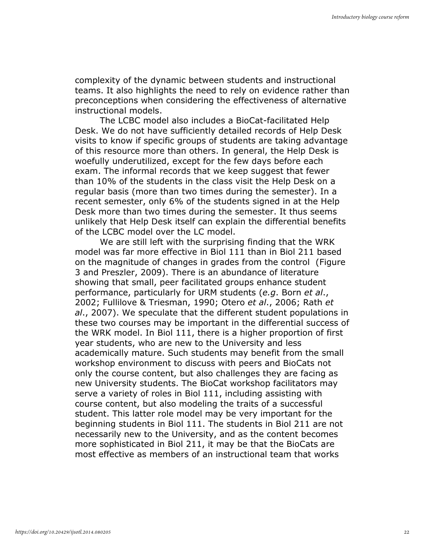complexity of the dynamic between students and instructional teams. It also highlights the need to rely on evidence rather than preconceptions when considering the effectiveness of alternative instructional models.

The LCBC model also includes a BioCat-facilitated Help Desk. We do not have sufficiently detailed records of Help Desk visits to know if specific groups of students are taking advantage of this resource more than others. In general, the Help Desk is woefully underutilized, except for the few days before each exam. The informal records that we keep suggest that fewer than 10% of the students in the class visit the Help Desk on a regular basis (more than two times during the semester). In a recent semester, only 6% of the students signed in at the Help Desk more than two times during the semester. It thus seems unlikely that Help Desk itself can explain the differential benefits of the LCBC model over the LC model.

We are still left with the surprising finding that the WRK model was far more effective in Biol 111 than in Biol 211 based on the magnitude of changes in grades from the control (Figure 3 and Preszler, 2009). There is an abundance of literature showing that small, peer facilitated groups enhance student performance, particularly for URM students (e.g. Born et al., 2002; Fullilove & Triesman, 1990; Otero et al., 2006; Rath et al., 2007). We speculate that the different student populations in these two courses may be important in the differential success of the WRK model. In Biol 111, there is a higher proportion of first year students, who are new to the University and less academically mature. Such students may benefit from the small workshop environment to discuss with peers and BioCats not only the course content, but also challenges they are facing as new University students. The BioCat workshop facilitators may serve a variety of roles in Biol 111, including assisting with course content, but also modeling the traits of a successful student. This latter role model may be very important for the beginning students in Biol 111. The students in Biol 211 are not necessarily new to the University, and as the content becomes more sophisticated in Biol 211, it may be that the BioCats are most effective as members of an instructional team that works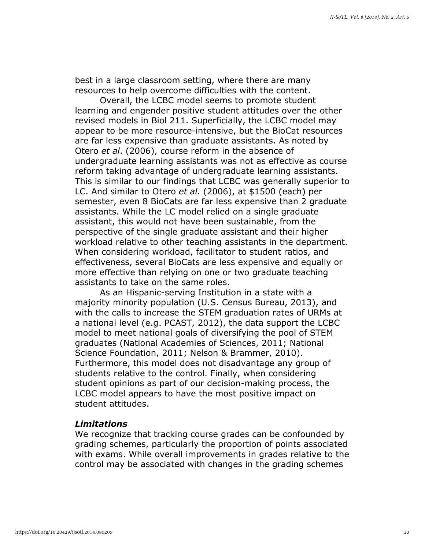best in a large classroom setting, where there are many resources to help overcome difficulties with the content.

Overall, the LCBC model seems to promote student learning and engender positive student attitudes over the other revised models in Biol 211. Superficially, the LCBC model may appear to be more resource-intensive, but the BioCat resources are far less expensive than graduate assistants. As noted by Otero et al. (2006), course reform in the absence of undergraduate learning assistants was not as effective as course reform taking advantage of undergraduate learning assistants. This is similar to our findings that LCBC was generally superior to LC. And similar to Otero et al. (2006), at \$1500 (each) per semester, even 8 BioCats are far less expensive than 2 graduate assistants. While the LC model relied on a single graduate assistant, this would not have been sustainable, from the perspective of the single graduate assistant and their higher workload relative to other teaching assistants in the department. When considering workload, facilitator to student ratios, and effectiveness, several BioCats are less expensive and equally or more effective than relying on one or two graduate teaching assistants to take on the same roles.

As an Hispanic-serving Institution in a state with a majority minority population (U.S. Census Bureau, 2013), and with the calls to increase the STEM graduation rates of URMs at a national level (e.g. PCAST, 2012), the data support the LCBC model to meet national goals of diversifying the pool of STEM graduates (National Academies of Sciences, 2011; National Science Foundation, 2011; Nelson & Brammer, 2010). Furthermore, this model does not disadvantage any group of students relative to the control. Finally, when considering student opinions as part of our decision-making process, the LCBC model appears to have the most positive impact on student attitudes.

# Limitations

We recognize that tracking course grades can be confounded by grading schemes, particularly the proportion of points associated with exams. While overall improvements in grades relative to the control may be associated with changes in the grading schemes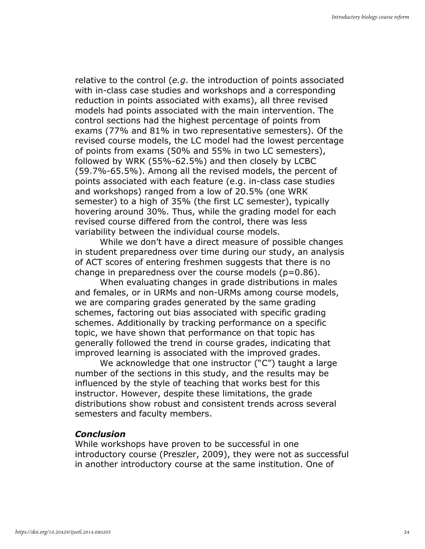relative to the control (e.g. the introduction of points associated with in-class case studies and workshops and a corresponding reduction in points associated with exams), all three revised models had points associated with the main intervention. The control sections had the highest percentage of points from exams (77% and 81% in two representative semesters). Of the revised course models, the LC model had the lowest percentage of points from exams (50% and 55% in two LC semesters), followed by WRK (55%-62.5%) and then closely by LCBC (59.7%-65.5%). Among all the revised models, the percent of points associated with each feature (e.g. in-class case studies and workshops) ranged from a low of 20.5% (one WRK semester) to a high of 35% (the first LC semester), typically hovering around 30%. Thus, while the grading model for each revised course differed from the control, there was less variability between the individual course models.

While we don't have a direct measure of possible changes in student preparedness over time during our study, an analysis of ACT scores of entering freshmen suggests that there is no change in preparedness over the course models  $(p=0.86)$ .

When evaluating changes in grade distributions in males and females, or in URMs and non-URMs among course models, we are comparing grades generated by the same grading schemes, factoring out bias associated with specific grading schemes. Additionally by tracking performance on a specific topic, we have shown that performance on that topic has generally followed the trend in course grades, indicating that improved learning is associated with the improved grades.

We acknowledge that one instructor ("C") taught a large number of the sections in this study, and the results may be influenced by the style of teaching that works best for this instructor. However, despite these limitations, the grade distributions show robust and consistent trends across several semesters and faculty members.

# Conclusion

While workshops have proven to be successful in one introductory course (Preszler, 2009), they were not as successful in another introductory course at the same institution. One of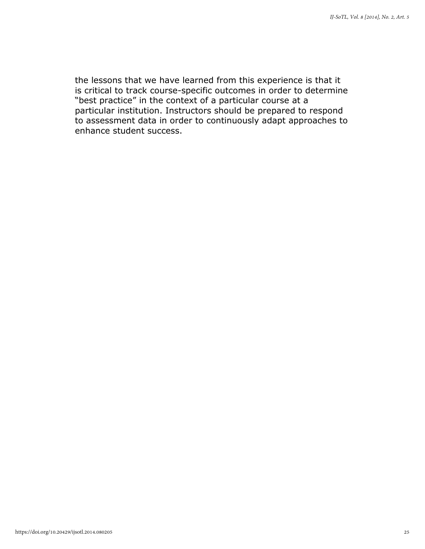the lessons that we have learned from this experience is that it is critical to track course-specific outcomes in order to determine "best practice" in the context of a particular course at a particular institution. Instructors should be prepared to respond to assessment data in order to continuously adapt approaches to enhance student success.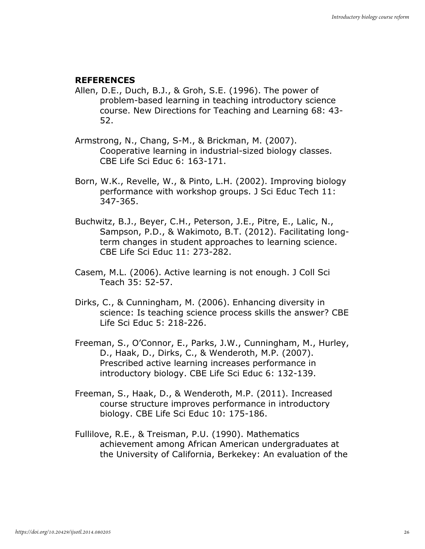# **REFERENCES**

- Allen, D.E., Duch, B.J., & Groh, S.E. (1996). The power of problem-based learning in teaching introductory science course. New Directions for Teaching and Learning 68: 43- 52.
- Armstrong, N., Chang, S-M., & Brickman, M. (2007). Cooperative learning in industrial-sized biology classes. CBE Life Sci Educ 6: 163-171.
- Born, W.K., Revelle, W., & Pinto, L.H. (2002). Improving biology performance with workshop groups. J Sci Educ Tech 11: 347-365.
- Buchwitz, B.J., Beyer, C.H., Peterson, J.E., Pitre, E., Lalic, N., Sampson, P.D., & Wakimoto, B.T. (2012). Facilitating longterm changes in student approaches to learning science. CBE Life Sci Educ 11: 273-282.
- Casem, M.L. (2006). Active learning is not enough. J Coll Sci Teach 35: 52-57.
- Dirks, C., & Cunningham, M. (2006). Enhancing diversity in science: Is teaching science process skills the answer? CBE Life Sci Educ 5: 218-226.
- Freeman, S., O'Connor, E., Parks, J.W., Cunningham, M., Hurley, D., Haak, D., Dirks, C., & Wenderoth, M.P. (2007). Prescribed active learning increases performance in introductory biology. CBE Life Sci Educ 6: 132-139.
- Freeman, S., Haak, D., & Wenderoth, M.P. (2011). Increased course structure improves performance in introductory biology. CBE Life Sci Educ 10: 175-186.
- Fullilove, R.E., & Treisman, P.U. (1990). Mathematics achievement among African American undergraduates at the University of California, Berkekey: An evaluation of the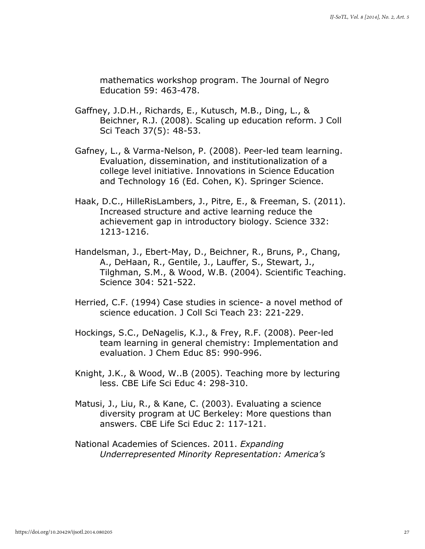mathematics workshop program. The Journal of Negro Education 59: 463-478.

- Gaffney, J.D.H., Richards, E., Kutusch, M.B., Ding, L., & Beichner, R.J. (2008). Scaling up education reform. J Coll Sci Teach 37(5): 48-53.
- Gafney, L., & Varma-Nelson, P. (2008). Peer-led team learning. Evaluation, dissemination, and institutionalization of a college level initiative. Innovations in Science Education and Technology 16 (Ed. Cohen, K). Springer Science.
- Haak, D.C., HilleRisLambers, J., Pitre, E., & Freeman, S. (2011). Increased structure and active learning reduce the achievement gap in introductory biology. Science 332: 1213-1216.
- Handelsman, J., Ebert-May, D., Beichner, R., Bruns, P., Chang, A., DeHaan, R., Gentile, J., Lauffer, S., Stewart, J., Tilghman, S.M., & Wood, W.B. (2004). Scientific Teaching. Science 304: 521-522.
- Herried, C.F. (1994) Case studies in science- a novel method of science education. J Coll Sci Teach 23: 221-229.
- Hockings, S.C., DeNagelis, K.J., & Frey, R.F. (2008). Peer-led team learning in general chemistry: Implementation and evaluation. J Chem Educ 85: 990-996.
- Knight, J.K., & Wood, W..B (2005). Teaching more by lecturing less. CBE Life Sci Educ 4: 298-310.
- Matusi, J., Liu, R., & Kane, C. (2003). Evaluating a science diversity program at UC Berkeley: More questions than answers. CBE Life Sci Educ 2: 117-121.
- National Academies of Sciences. 2011. Expanding Underrepresented Minority Representation: America's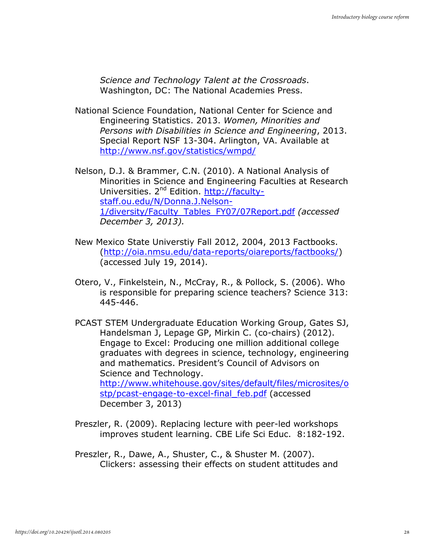Science and Technology Talent at the Crossroads. Washington, DC: The National Academies Press.

National Science Foundation, National Center for Science and Engineering Statistics. 2013. Women, Minorities and Persons with Disabilities in Science and Engineering, 2013. Special Report NSF 13-304. Arlington, VA. Available at http://www.nsf.gov/statistics/wmpd/

Nelson, D.J. & Brammer, C.N. (2010). A National Analysis of Minorities in Science and Engineering Faculties at Research Universities. 2<sup>nd</sup> Edition. http://facultystaff.ou.edu/N/Donna.J.Nelson-1/diversity/Faculty\_Tables\_FY07/07Report.pdf (accessed December 3, 2013).

- New Mexico State Universtiy Fall 2012, 2004, 2013 Factbooks. (http://oia.nmsu.edu/data-reports/oiareports/factbooks/) (accessed July 19, 2014).
- Otero, V., Finkelstein, N., McCray, R., & Pollock, S. (2006). Who is responsible for preparing science teachers? Science 313: 445-446.
- PCAST STEM Undergraduate Education Working Group, Gates SJ, Handelsman J, Lepage GP, Mirkin C. (co-chairs) (2012). Engage to Excel: Producing one million additional college graduates with degrees in science, technology, engineering and mathematics. President's Council of Advisors on Science and Technology. http://www.whitehouse.gov/sites/default/files/microsites/o stp/pcast-engage-to-excel-final\_feb.pdf (accessed December 3, 2013)
- Preszler, R. (2009). Replacing lecture with peer-led workshops improves student learning. CBE Life Sci Educ. 8:182-192.
- Preszler, R., Dawe, A., Shuster, C., & Shuster M. (2007). Clickers: assessing their effects on student attitudes and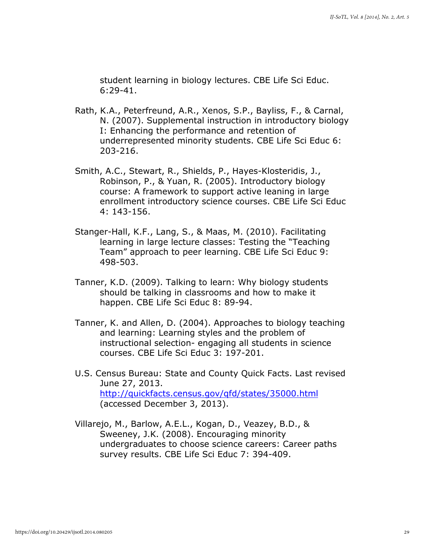student learning in biology lectures. CBE Life Sci Educ. 6:29-41.

- Rath, K.A., Peterfreund, A.R., Xenos, S.P., Bayliss, F., & Carnal, N. (2007). Supplemental instruction in introductory biology I: Enhancing the performance and retention of underrepresented minority students. CBE Life Sci Educ 6: 203-216.
- Smith, A.C., Stewart, R., Shields, P., Hayes-Klosteridis, J., Robinson, P., & Yuan, R. (2005). Introductory biology course: A framework to support active leaning in large enrollment introductory science courses. CBE Life Sci Educ 4: 143-156.
- Stanger-Hall, K.F., Lang, S., & Maas, M. (2010). Facilitating learning in large lecture classes: Testing the "Teaching Team" approach to peer learning. CBE Life Sci Educ 9: 498-503.
- Tanner, K.D. (2009). Talking to learn: Why biology students should be talking in classrooms and how to make it happen. CBE Life Sci Educ 8: 89-94.
- Tanner, K. and Allen, D. (2004). Approaches to biology teaching and learning: Learning styles and the problem of instructional selection- engaging all students in science courses. CBE Life Sci Educ 3: 197-201.
- U.S. Census Bureau: State and County Quick Facts. Last revised June 27, 2013. http://quickfacts.census.gov/qfd/states/35000.html (accessed December 3, 2013).
- Villarejo, M., Barlow, A.E.L., Kogan, D., Veazey, B.D., & Sweeney, J.K. (2008). Encouraging minority undergraduates to choose science careers: Career paths survey results. CBE Life Sci Educ 7: 394-409.